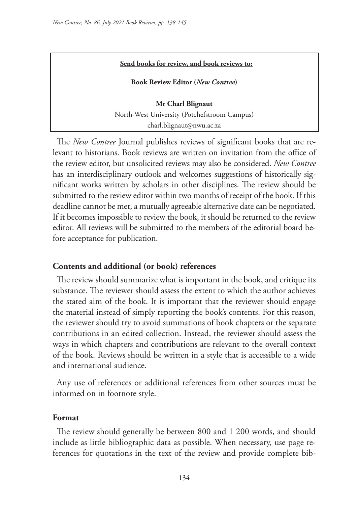#### **Send books for review, and book reviews to:**

**Book Review Editor (***New Contree***)** 

**Mr Charl Blignaut** North-West University (Potchefstroom Campus) charl.blignaut@nwu.ac.za

The *New Contree* Journal publishes reviews of significant books that are relevant to historians. Book reviews are written on invitation from the office of the review editor, but unsolicited reviews may also be considered. *New Contree*  has an interdisciplinary outlook and welcomes suggestions of historically significant works written by scholars in other disciplines. The review should be submitted to the review editor within two months of receipt of the book. If this deadline cannot be met, a mutually agreeable alternative date can be negotiated. If it becomes impossible to review the book, it should be returned to the review editor. All reviews will be submitted to the members of the editorial board before acceptance for publication.

### **Contents and additional (or book) references**

The review should summarize what is important in the book, and critique its substance. The reviewer should assess the extent to which the author achieves the stated aim of the book. It is important that the reviewer should engage the material instead of simply reporting the book's contents. For this reason, the reviewer should try to avoid summations of book chapters or the separate contributions in an edited collection. Instead, the reviewer should assess the ways in which chapters and contributions are relevant to the overall context of the book. Reviews should be written in a style that is accessible to a wide and international audience.

Any use of references or additional references from other sources must be informed on in footnote style.

#### **Format**

The review should generally be between 800 and 1 200 words, and should include as little bibliographic data as possible. When necessary, use page references for quotations in the text of the review and provide complete bib-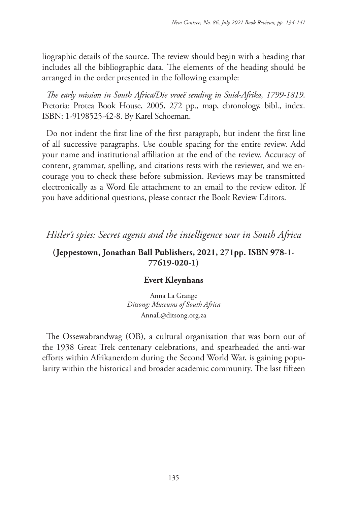liographic details of the source. The review should begin with a heading that includes all the bibliographic data. The elements of the heading should be arranged in the order presented in the following example:

*The early mission in South Africa/Die vroeë sending in Suid-Afrika, 1799-1819*. Pretoria: Protea Book House, 2005, 272 pp., map, chronology, bibl., index. ISBN: 1-9198525-42-8. By Karel Schoeman.

Do not indent the first line of the first paragraph, but indent the first line of all successive paragraphs. Use double spacing for the entire review. Add your name and institutional affiliation at the end of the review. Accuracy of content, grammar, spelling, and citations rests with the reviewer, and we encourage you to check these before submission. Reviews may be transmitted electronically as a Word file attachment to an email to the review editor. If you have additional questions, please contact the Book Review Editors.

*Hitler's spies: Secret agents and the intelligence war in South Africa*

# **(Jeppestown, Jonathan Ball Publishers, 2021, 271pp. ISBN 978-1- 77619-020-1)**

## **Evert Kleynhans**

Anna La Grange *Ditsong: Museums of South Africa* AnnaL@ditsong.org.za

The Ossewabrandwag (OB), a cultural organisation that was born out of the 1938 Great Trek centenary celebrations, and spearheaded the anti-war efforts within Afrikanerdom during the Second World War, is gaining popularity within the historical and broader academic community. The last fifteen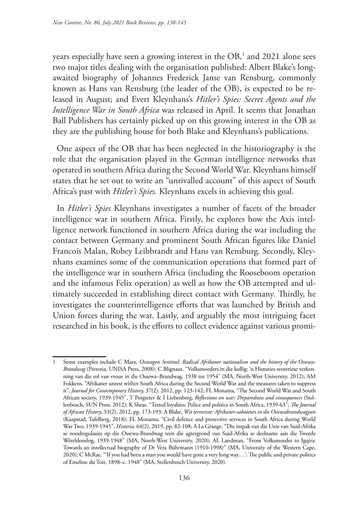years especially have seen a growing interest in the  $\mathrm{OB},^{\scriptscriptstyle 1}$  and  $2021$  alone sees two major titles dealing with the organisation published: Albert Blake's longawaited biography of Johannes Frederick Janse van Rensburg, commonly known as Hans van Rensburg (the leader of the OB), is expected to be released in August; and Evert Kleynhans's *Hitler's Spies: Secret Agents and the Intelligence War in South Africa* was released in April. It seems that Jonathan Ball Publishers has certainly picked up on this growing interest in the OB as they are the publishing house for both Blake and Kleynhans's publications.

One aspect of the OB that has been neglected in the historiography is the role that the organisation played in the German intelligence networks that operated in southern Africa during the Second World War. Kleynhans himself states that he set out to write an "unrivalled account" of this aspect of South Africa's past with *Hitler's Spies.* Kleynhans excels in achieving this goal.

In *Hitler's Spies* Kleynhans investigates a number of facets of the broader intelligence war in southern Africa. Firstly, he explores how the Axis intelligence network functioned in southern Africa during the war including the contact between Germany and prominent South African figures like Daniel Francois Malan, Robey Leibbrandt and Hans van Rensburg. Secondly, Kleynhans examines some of the communication operations that formed part of the intelligence war in southern Africa (including the Rooseboom operation and the infamous Felix operation) as well as how the OB attempted and ultimately succeeded in establishing direct contact with Germany. Thirdly, he investigates the counterintelligence efforts that was launched by British and Union forces during the war. Lastly, and arguably the most intriguing facet researched in his book, is the efforts to collect evidence against various promi-

Some examples include C Marx, *Oxwagon Sentinel: Radical Afrikaner nationalism and the history of the Ossewa-Brandwag* (Pretoria, UNISA Press, 2008); C Blignaut, "Volksmoeders in die kollig: 'n Histories-teoretiese verkenning van die rol van vroue in die Ossewa–Brandwag, 1938 tot 1954" (MA, North-West University, 2012); AM Fokkens, "Afrikaner unrest within South Africa during the Second World War and the measures taken to suppress it", *Journal for Contemporary History,* 37(2), 2012, pp. 123-142; FL Monama, "The Second World War and South African society, 1939-1945", T Potgieter & I Liebenberg, *Reflections on war: Preparedness and consequences* (Stellenbosch, SUN Press, 2012); K Shear, "Tested loyalties: Police and politics in South Africa, 1939-63", *The Journal of African History*, 53(2), 2012, pp. 173-193; A Blake, *Wit terroriste: Afrikaner-saboteurs in die Ossewabrandwagjare* (Kaapstad, Tafelberg, 2018); FL Monama, "Civil defence and protective services in South Africa during World War Two, 1939-1945", *Historia,* 64(2), 2019, pp. 82-108; A La Grange, "Die impak van die Unie van Suid-Afrika se noodregulasies op die Ossewa-Brandwag teen die agtergrond van Suid-Afrika se deelname aan die Tweede Wêreldoorlog, 1939-1948" (MA, North-West University, 2020); AL Landman, "From Volksmoeder to Igqira: Towards an intellectual biography of Dr Vera Bührmann (1910-1998)" (MA, University of the Western Cape, 2020); C McRae, "'If you had been a man you would have gone a very long way…': The public and private politics of Emeline du Toit, 1898–c. 1948" (MA, Stellenbosch University, 2020).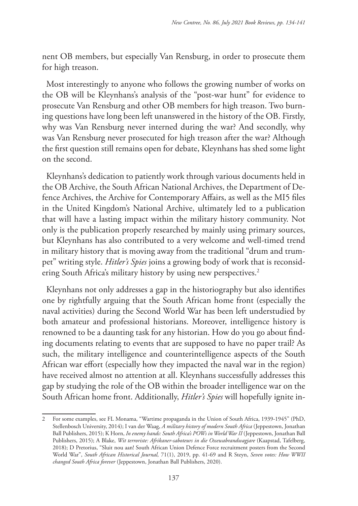nent OB members, but especially Van Rensburg, in order to prosecute them for high treason.

Most interestingly to anyone who follows the growing number of works on the OB will be Kleynhans's analysis of the "post-war hunt" for evidence to prosecute Van Rensburg and other OB members for high treason. Two burning questions have long been left unanswered in the history of the OB. Firstly, why was Van Rensburg never interned during the war? And secondly, why was Van Rensburg never prosecuted for high treason after the war? Although the first question still remains open for debate, Kleynhans has shed some light on the second.

Kleynhans's dedication to patiently work through various documents held in the OB Archive, the South African National Archives, the Department of Defence Archives, the Archive for Contemporary Affairs, as well as the MI5 files in the United Kingdom's National Archive, ultimately led to a publication that will have a lasting impact within the military history community. Not only is the publication properly researched by mainly using primary sources, but Kleynhans has also contributed to a very welcome and well-timed trend in military history that is moving away from the traditional "drum and trumpet" writing style. *Hitler's Spies* joins a growing body of work that is reconsidering South Africa's military history by using new perspectives.<sup>2</sup>

Kleynhans not only addresses a gap in the historiography but also identifies one by rightfully arguing that the South African home front (especially the naval activities) during the Second World War has been left understudied by both amateur and professional historians. Moreover, intelligence history is renowned to be a daunting task for any historian. How do you go about finding documents relating to events that are supposed to have no paper trail? As such, the military intelligence and counterintelligence aspects of the South African war effort (especially how they impacted the naval war in the region) have received almost no attention at all. Kleynhans successfully addresses this gap by studying the role of the OB within the broader intelligence war on the South African home front. Additionally, *Hitler's Spies* will hopefully ignite in-

<sup>2</sup> For some examples, see FL Monama, "Wartime propaganda in the Union of South Africa, 1939-1945" (PhD, Stellenbosch University, 2014); I van der Waag, *A military history of modern South Africa* (Jeppestown, Jonathan Ball Publishers, 2015); K Horn, *In enemy hands: South Africa's POWs in World War II* (Jeppestown, Jonathan Ball Publishers, 2015); A Blake, *Wit terroriste: Afrikaner-saboteurs in die Ossewabrandwagjare* (Kaapstad, Tafelberg, 2018); D Pretorius, "Sluit nou aan! South African Union Defence Force recruitment posters from the Second World War", *South African Historical Journal,* 71(1), 2019, pp. 41-69 and R Steyn, *Seven votes: How WWII changed South Africa forever* (Jeppestown, Jonathan Ball Publishers, 2020).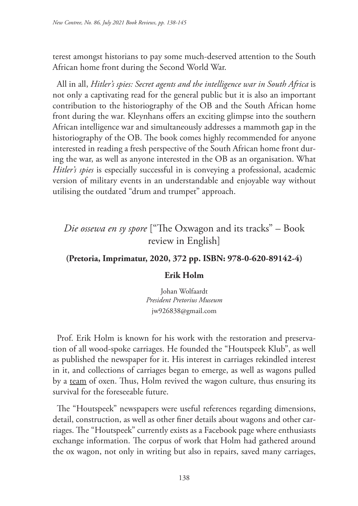terest amongst historians to pay some much-deserved attention to the South African home front during the Second World War.

All in all, *Hitler's spies: Secret agents and the intelligence war in South Africa* is not only a captivating read for the general public but it is also an important contribution to the historiography of the OB and the South African home front during the war. Kleynhans offers an exciting glimpse into the southern African intelligence war and simultaneously addresses a mammoth gap in the historiography of the OB. The book comes highly recommended for anyone interested in reading a fresh perspective of the South African home front during the war, as well as anyone interested in the OB as an organisation. What *Hitler's spies* is especially successful in is conveying a professional, academic version of military events in an understandable and enjoyable way without utilising the outdated "drum and trumpet" approach.

# *Die ossewa en sy spore* ["The Oxwagon and its tracks" – Book review in English]

### **(Pretoria, Imprimatur, 2020, 372 pp. ISBN: 978-0-620-89142-4)**

### **Erik Holm**

Johan Wolfaardt *President Pretorius Museum* jw926838@gmail.com

Prof. Erik Holm is known for his work with the restoration and preservation of all wood-spoke carriages. He founded the "Houtspeek Klub", as well as published the newspaper for it. His interest in carriages rekindled interest in it, and collections of carriages began to emerge, as well as wagons pulled by a team of oxen. Thus, Holm revived the wagon culture, thus ensuring its survival for the foreseeable future.

The "Houtspeek" newspapers were useful references regarding dimensions, detail, construction, as well as other finer details about wagons and other carriages. The "Houtspeek" currently exists as a Facebook page where enthusiasts exchange information. The corpus of work that Holm had gathered around the ox wagon, not only in writing but also in repairs, saved many carriages,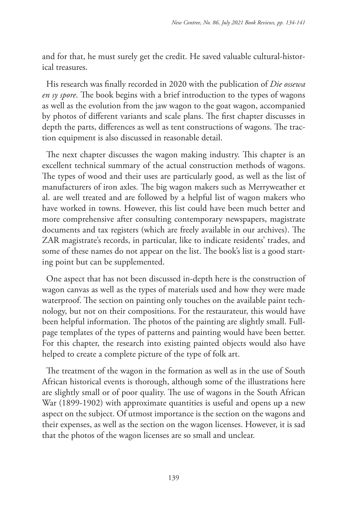and for that, he must surely get the credit. He saved valuable cultural-historical treasures.

His research was finally recorded in 2020 with the publication of *Die ossewa en sy spore*. The book begins with a brief introduction to the types of wagons as well as the evolution from the jaw wagon to the goat wagon, accompanied by photos of different variants and scale plans. The first chapter discusses in depth the parts, differences as well as tent constructions of wagons. The traction equipment is also discussed in reasonable detail.

The next chapter discusses the wagon making industry. This chapter is an excellent technical summary of the actual construction methods of wagons. The types of wood and their uses are particularly good, as well as the list of manufacturers of iron axles. The big wagon makers such as Merryweather et al. are well treated and are followed by a helpful list of wagon makers who have worked in towns. However, this list could have been much better and more comprehensive after consulting contemporary newspapers, magistrate documents and tax registers (which are freely available in our archives). The ZAR magistrate's records, in particular, like to indicate residents' trades, and some of these names do not appear on the list. The book's list is a good starting point but can be supplemented.

One aspect that has not been discussed in-depth here is the construction of wagon canvas as well as the types of materials used and how they were made waterproof. The section on painting only touches on the available paint technology, but not on their compositions. For the restaurateur, this would have been helpful information. The photos of the painting are slightly small. Fullpage templates of the types of patterns and painting would have been better. For this chapter, the research into existing painted objects would also have helped to create a complete picture of the type of folk art.

The treatment of the wagon in the formation as well as in the use of South African historical events is thorough, although some of the illustrations here are slightly small or of poor quality. The use of wagons in the South African War (1899-1902) with approximate quantities is useful and opens up a new aspect on the subject. Of utmost importance is the section on the wagons and their expenses, as well as the section on the wagon licenses. However, it is sad that the photos of the wagon licenses are so small and unclear.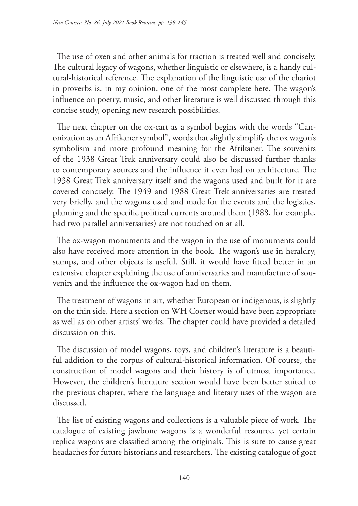The use of oxen and other animals for traction is treated well and concisely. The cultural legacy of wagons, whether linguistic or elsewhere, is a handy cultural-historical reference. The explanation of the linguistic use of the chariot in proverbs is, in my opinion, one of the most complete here. The wagon's influence on poetry, music, and other literature is well discussed through this concise study, opening new research possibilities.

The next chapter on the ox-cart as a symbol begins with the words "Canonization as an Afrikaner symbol", words that slightly simplify the ox wagon's symbolism and more profound meaning for the Afrikaner. The souvenirs of the 1938 Great Trek anniversary could also be discussed further thanks to contemporary sources and the influence it even had on architecture. The 1938 Great Trek anniversary itself and the wagons used and built for it are covered concisely. The 1949 and 1988 Great Trek anniversaries are treated very briefly, and the wagons used and made for the events and the logistics, planning and the specific political currents around them (1988, for example, had two parallel anniversaries) are not touched on at all.

The ox-wagon monuments and the wagon in the use of monuments could also have received more attention in the book. The wagon's use in heraldry, stamps, and other objects is useful. Still, it would have fitted better in an extensive chapter explaining the use of anniversaries and manufacture of souvenirs and the influence the ox-wagon had on them.

The treatment of wagons in art, whether European or indigenous, is slightly on the thin side. Here a section on WH Coetser would have been appropriate as well as on other artists' works. The chapter could have provided a detailed discussion on this.

The discussion of model wagons, toys, and children's literature is a beautiful addition to the corpus of cultural-historical information. Of course, the construction of model wagons and their history is of utmost importance. However, the children's literature section would have been better suited to the previous chapter, where the language and literary uses of the wagon are discussed.

The list of existing wagons and collections is a valuable piece of work. The catalogue of existing jawbone wagons is a wonderful resource, yet certain replica wagons are classified among the originals. This is sure to cause great headaches for future historians and researchers. The existing catalogue of goat